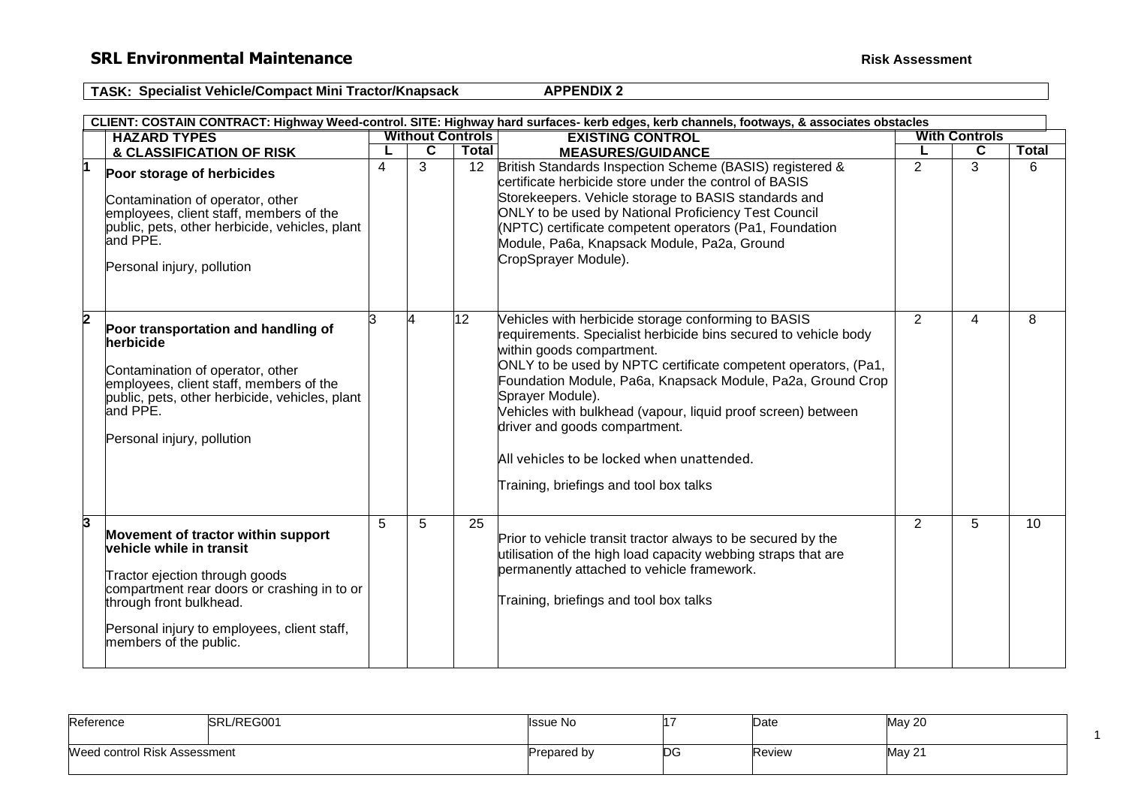# **SRL Environmental Maintenance Risk** Assessment

1

**TASK: Specialist Vehicle/Compact Mini Tractor/Knapsack APPENDIX 2** 

|    |                                                                                                                                                                                                                                                     |   |                         |                 | CLIENT: COSTAIN CONTRACT: Highway Weed-control. SITE: Highway hard surfaces- kerb edges, kerb channels, footways, & associates obstacles                                                                                                                                                                                                                                                                                                                                                          |                |                      |              |  |  |
|----|-----------------------------------------------------------------------------------------------------------------------------------------------------------------------------------------------------------------------------------------------------|---|-------------------------|-----------------|---------------------------------------------------------------------------------------------------------------------------------------------------------------------------------------------------------------------------------------------------------------------------------------------------------------------------------------------------------------------------------------------------------------------------------------------------------------------------------------------------|----------------|----------------------|--------------|--|--|
|    | <b>HAZARD TYPES</b>                                                                                                                                                                                                                                 |   | <b>Without Controls</b> |                 | <b>EXISTING CONTROL</b>                                                                                                                                                                                                                                                                                                                                                                                                                                                                           |                | <b>With Controls</b> |              |  |  |
|    | & CLASSIFICATION OF RISK                                                                                                                                                                                                                            |   | $\overline{\mathbf{c}}$ | <b>Total</b>    | <b>MEASURES/GUIDANCE</b>                                                                                                                                                                                                                                                                                                                                                                                                                                                                          |                | C                    | <b>Total</b> |  |  |
| ł1 | Poor storage of herbicides<br>Contamination of operator, other<br>employees, client staff, members of the<br>public, pets, other herbicide, vehicles, plant<br>and PPE.<br>Personal injury, pollution                                               | 4 | 3                       | 12              | British Standards Inspection Scheme (BASIS) registered &<br>certificate herbicide store under the control of BASIS<br>Storekeepers. Vehicle storage to BASIS standards and<br>ONLY to be used by National Proficiency Test Council<br>(NPTC) certificate competent operators (Pa1, Foundation<br>Module, Pa6a, Knapsack Module, Pa2a, Ground<br>CropSprayer Module).                                                                                                                              | $\overline{2}$ | 3                    | 6            |  |  |
| 2  | Poor transportation and handling of<br>herbicide<br>Contamination of operator, other<br>employees, client staff, members of the<br>public, pets, other herbicide, vehicles, plant<br>and PPE.<br>Personal injury, pollution                         | 3 |                         | 12 <sub>2</sub> | Vehicles with herbicide storage conforming to BASIS<br>requirements. Specialist herbicide bins secured to vehicle body<br>within goods compartment.<br>ONLY to be used by NPTC certificate competent operators, (Pa1,<br>Foundation Module, Pa6a, Knapsack Module, Pa2a, Ground Crop<br>Sprayer Module).<br>Vehicles with bulkhead (vapour, liquid proof screen) between<br>driver and goods compartment.<br>All vehicles to be locked when unattended.<br>Training, briefings and tool box talks | $\overline{2}$ | 4                    | 8            |  |  |
| 3  | Movement of tractor within support<br>vehicle while in transit<br>Tractor ejection through goods<br>compartment rear doors or crashing in to or<br>through front bulkhead.<br>Personal injury to employees, client staff,<br>members of the public. | 5 | 5                       | 25              | Prior to vehicle transit tractor always to be secured by the<br>utilisation of the high load capacity webbing straps that are<br>permanently attached to vehicle framework.<br>Training, briefings and tool box talks                                                                                                                                                                                                                                                                             | 2              | 5                    | 10           |  |  |

| Reference                    | SRL/REG001 | <b>I</b> ssue No | ۱1. | Date   | May 20 |
|------------------------------|------------|------------------|-----|--------|--------|
| Weed control Risk Assessment |            | Prepared by      | ŊС  | Review | May 21 |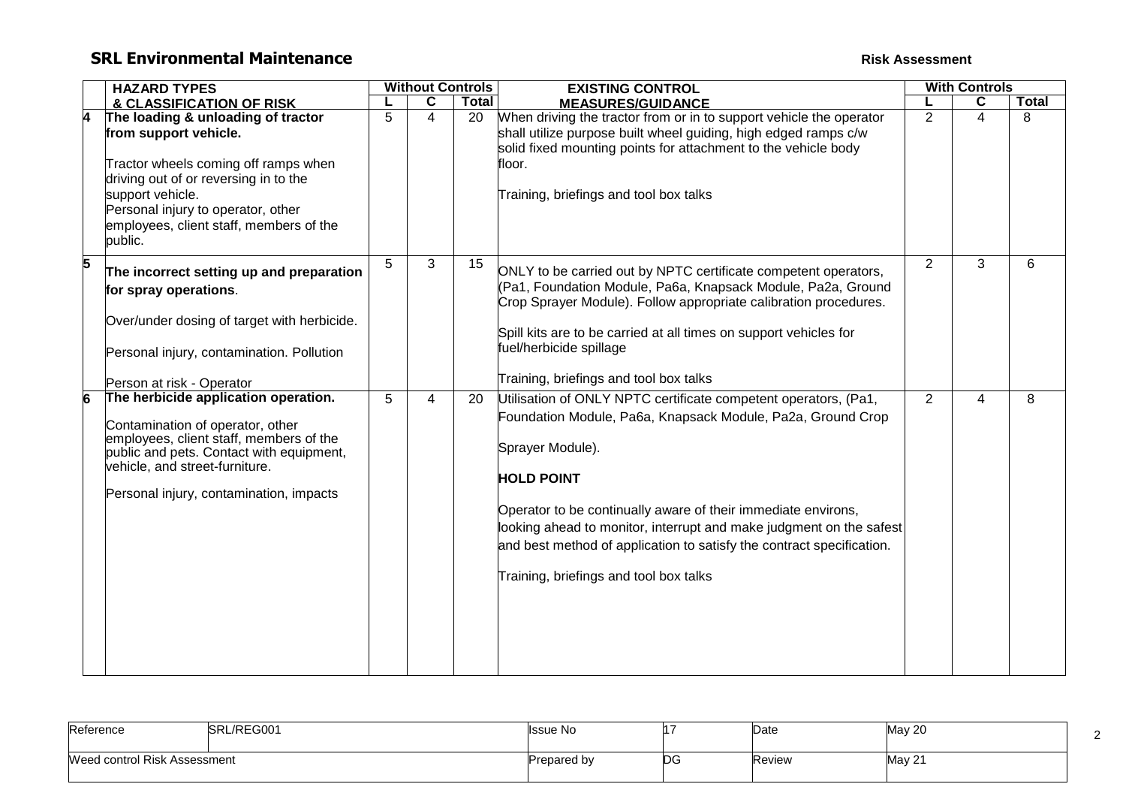# **SRL Environmental Maintenance Risk Assessment Risk Assessment**

|   | <b>HAZARD TYPES</b>                                                                                                                                                                                                                                          | <b>Without Controls</b> |                |       | <b>EXISTING CONTROL</b>                                                                                                                                                                                                                                                                                                                                                                                                            | <b>With Controls</b> |                |              |
|---|--------------------------------------------------------------------------------------------------------------------------------------------------------------------------------------------------------------------------------------------------------------|-------------------------|----------------|-------|------------------------------------------------------------------------------------------------------------------------------------------------------------------------------------------------------------------------------------------------------------------------------------------------------------------------------------------------------------------------------------------------------------------------------------|----------------------|----------------|--------------|
|   | & CLASSIFICATION OF RISK                                                                                                                                                                                                                                     |                         | C              | Total | <b>MEASURES/GUIDANCE</b>                                                                                                                                                                                                                                                                                                                                                                                                           |                      | С              | <b>Total</b> |
|   | The loading & unloading of tractor<br>from support vehicle.<br>Tractor wheels coming off ramps when<br>driving out of or reversing in to the<br>support vehicle.<br>Personal injury to operator, other<br>employees, client staff, members of the<br>public. | 5                       | 4              | 20    | When driving the tractor from or in to support vehicle the operator<br>shall utilize purpose built wheel guiding, high edged ramps c/w<br>solid fixed mounting points for attachment to the vehicle body<br>floor.<br>Training, briefings and tool box talks                                                                                                                                                                       | 2                    | $\overline{4}$ | 8            |
| 5 | The incorrect setting up and preparation<br>for spray operations.<br>Over/under dosing of target with herbicide.<br>Personal injury, contamination. Pollution<br>Person at risk - Operator                                                                   | 5                       | 3              | 15    | ONLY to be carried out by NPTC certificate competent operators,<br>(Pa1, Foundation Module, Pa6a, Knapsack Module, Pa2a, Ground<br>Crop Sprayer Module). Follow appropriate calibration procedures.<br>Spill kits are to be carried at all times on support vehicles for<br>fuel/herbicide spillage<br>Training, briefings and tool box talks                                                                                      | 2                    | 3              | 6            |
|   | The herbicide application operation.<br>Contamination of operator, other<br>employees, client staff, members of the<br>public and pets. Contact with equipment,<br>vehicle, and street-furniture.<br>Personal injury, contamination, impacts                 | 5                       | $\overline{4}$ | 20    | Utilisation of ONLY NPTC certificate competent operators, (Pa1,<br>Foundation Module, Pa6a, Knapsack Module, Pa2a, Ground Crop<br>Sprayer Module).<br><b>HOLD POINT</b><br>Operator to be continually aware of their immediate environs,<br>looking ahead to monitor, interrupt and make judgment on the safest<br>and best method of application to satisfy the contract specification.<br>Training, briefings and tool box talks | 2                    | 4              | 8            |

| Reference                    | L/REG001<br><b>ISRI</b> | <b>Issue No</b> |         | Date   | May 20 |  |
|------------------------------|-------------------------|-----------------|---------|--------|--------|--|
| Weed control Risk Assessment |                         | Prepared by     | r.<br>◡ | Review | May 21 |  |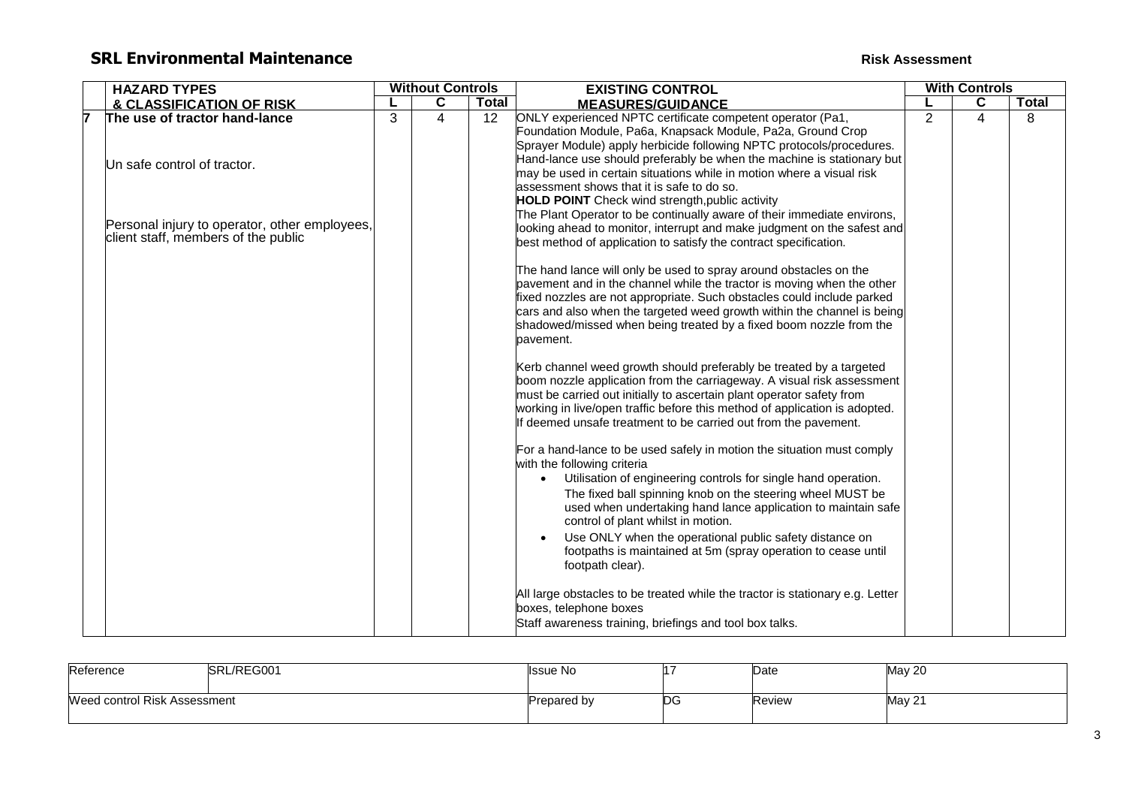# **SRL Environmental Maintenance Risk Assessment Risk Assessment**

|  | <b>HAZARD TYPES</b>                                                                  |   | <b>Without Controls</b> |              | <b>EXISTING CONTROL</b>                                                                                                                                                                                                                                                                                                                                                                                              | <b>With Controls</b> |   |       |
|--|--------------------------------------------------------------------------------------|---|-------------------------|--------------|----------------------------------------------------------------------------------------------------------------------------------------------------------------------------------------------------------------------------------------------------------------------------------------------------------------------------------------------------------------------------------------------------------------------|----------------------|---|-------|
|  | & CLASSIFICATION OF RISK                                                             |   | C                       | <b>Total</b> | <b>MEASURES/GUIDANCE</b>                                                                                                                                                                                                                                                                                                                                                                                             |                      | C | Total |
|  | The use of tractor hand-lance                                                        | 3 | 4                       | 12           | ONLY experienced NPTC certificate competent operator (Pa1,<br>Foundation Module, Pa6a, Knapsack Module, Pa2a, Ground Crop<br>Sprayer Module) apply herbicide following NPTC protocols/procedures.                                                                                                                                                                                                                    | $\overline{2}$       | 4 | 8     |
|  | Un safe control of tractor.                                                          |   |                         |              | Hand-lance use should preferably be when the machine is stationary but<br>may be used in certain situations while in motion where a visual risk<br>assessment shows that it is safe to do so.<br><b>HOLD POINT</b> Check wind strength, public activity                                                                                                                                                              |                      |   |       |
|  | Personal injury to operator, other employees,<br>client staff, members of the public |   |                         |              | The Plant Operator to be continually aware of their immediate environs,<br>looking ahead to monitor, interrupt and make judgment on the safest and<br>best method of application to satisfy the contract specification.                                                                                                                                                                                              |                      |   |       |
|  |                                                                                      |   |                         |              | The hand lance will only be used to spray around obstacles on the<br>pavement and in the channel while the tractor is moving when the other<br>fixed nozzles are not appropriate. Such obstacles could include parked<br>cars and also when the targeted weed growth within the channel is being<br>shadowed/missed when being treated by a fixed boom nozzle from the<br>pavement.                                  |                      |   |       |
|  |                                                                                      |   |                         |              | Kerb channel weed growth should preferably be treated by a targeted<br>boom nozzle application from the carriageway. A visual risk assessment<br>must be carried out initially to ascertain plant operator safety from<br>working in live/open traffic before this method of application is adopted.<br>If deemed unsafe treatment to be carried out from the pavement.                                              |                      |   |       |
|  |                                                                                      |   |                         |              | For a hand-lance to be used safely in motion the situation must comply<br>with the following criteria<br>Utilisation of engineering controls for single hand operation.<br>$\bullet$<br>The fixed ball spinning knob on the steering wheel MUST be<br>used when undertaking hand lance application to maintain safe<br>control of plant whilst in motion.<br>Use ONLY when the operational public safety distance on |                      |   |       |
|  |                                                                                      |   |                         |              | footpaths is maintained at 5m (spray operation to cease until<br>footpath clear).<br>All large obstacles to be treated while the tractor is stationary e.g. Letter<br>boxes, telephone boxes<br>Staff awareness training, briefings and tool box talks.                                                                                                                                                              |                      |   |       |

| SRL/REG001<br>Reference      |  | <b>Issue No</b>    |    | Date   | <b>May 20</b> |
|------------------------------|--|--------------------|----|--------|---------------|
| Weed control Risk Assessment |  | <b>Prepared by</b> | ЮG | Review | <b>May 21</b> |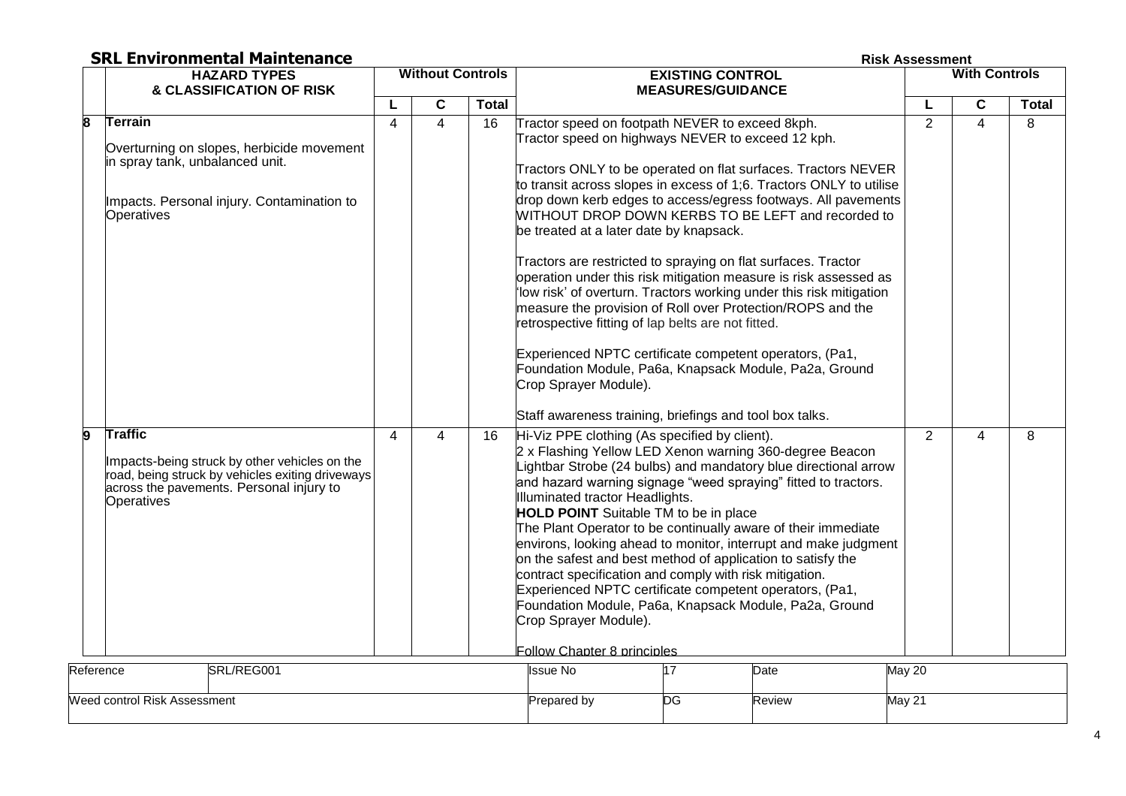**Risk Assessment** 

|           | <b>HAZARD TYPES</b>                                                                                                                                                           |              | <b>Without Controls</b> |              | <b>EXISTING CONTROL</b>                                                                                                                                                                                                                                                                                                                                                                                                                                                                                                                                                                                                                                                                                                                                                                                                                                                                                                                                 | <b>With Controls</b> |             |              |
|-----------|-------------------------------------------------------------------------------------------------------------------------------------------------------------------------------|--------------|-------------------------|--------------|---------------------------------------------------------------------------------------------------------------------------------------------------------------------------------------------------------------------------------------------------------------------------------------------------------------------------------------------------------------------------------------------------------------------------------------------------------------------------------------------------------------------------------------------------------------------------------------------------------------------------------------------------------------------------------------------------------------------------------------------------------------------------------------------------------------------------------------------------------------------------------------------------------------------------------------------------------|----------------------|-------------|--------------|
|           | & CLASSIFICATION OF RISK                                                                                                                                                      |              |                         |              | <b>MEASURES/GUIDANCE</b>                                                                                                                                                                                                                                                                                                                                                                                                                                                                                                                                                                                                                                                                                                                                                                                                                                                                                                                                |                      |             |              |
|           |                                                                                                                                                                               | L            | C                       | <b>Total</b> |                                                                                                                                                                                                                                                                                                                                                                                                                                                                                                                                                                                                                                                                                                                                                                                                                                                                                                                                                         | L                    | $\mathbf c$ | <b>Total</b> |
| 8         | Terrain<br>Overturning on slopes, herbicide movement<br>in spray tank, unbalanced unit.<br>Impacts. Personal injury. Contamination to<br>Operatives                           | 4<br>4<br>16 |                         |              | Tractor speed on footpath NEVER to exceed 8kph.<br>Tractor speed on highways NEVER to exceed 12 kph.<br>Tractors ONLY to be operated on flat surfaces. Tractors NEVER<br>to transit across slopes in excess of 1;6. Tractors ONLY to utilise<br>drop down kerb edges to access/egress footways. All pavements<br>WITHOUT DROP DOWN KERBS TO BE LEFT and recorded to<br>be treated at a later date by knapsack.<br>Tractors are restricted to spraying on flat surfaces. Tractor<br>operation under this risk mitigation measure is risk assessed as<br>'low risk' of overturn. Tractors working under this risk mitigation<br>measure the provision of Roll over Protection/ROPS and the<br>retrospective fitting of lap belts are not fitted.<br>Experienced NPTC certificate competent operators, (Pa1,<br>Foundation Module, Pa6a, Knapsack Module, Pa2a, Ground<br>Crop Sprayer Module).<br>Staff awareness training, briefings and tool box talks. | 2                    | 4           | 8            |
| 9         | <b>Traffic</b><br>Impacts-being struck by other vehicles on the<br>road, being struck by vehicles exiting driveways<br>across the pavements. Personal injury to<br>Operatives | 4            | 4                       | 16           | Hi-Viz PPE clothing (As specified by client).<br>2 x Flashing Yellow LED Xenon warning 360-degree Beacon<br>Lightbar Strobe (24 bulbs) and mandatory blue directional arrow<br>and hazard warning signage "weed spraying" fitted to tractors.<br>Illuminated tractor Headlights.<br><b>HOLD POINT</b> Suitable TM to be in place<br>The Plant Operator to be continually aware of their immediate<br>environs, looking ahead to monitor, interrupt and make judgment<br>on the safest and best method of application to satisfy the<br>contract specification and comply with risk mitigation.<br>Experienced NPTC certificate competent operators, (Pa1,<br>Foundation Module, Pa6a, Knapsack Module, Pa2a, Ground<br>Crop Sprayer Module).<br>Follow Chapter 8 principles                                                                                                                                                                             | 2                    | 4           | 8            |
| Reference | SRL/REG001                                                                                                                                                                    |              |                         |              | <b>Issue No</b><br>17<br>Date                                                                                                                                                                                                                                                                                                                                                                                                                                                                                                                                                                                                                                                                                                                                                                                                                                                                                                                           | <b>May 20</b>        |             |              |
|           | Weed control Risk Assessment                                                                                                                                                  |              |                         |              | DG<br>Prepared by<br>Review                                                                                                                                                                                                                                                                                                                                                                                                                                                                                                                                                                                                                                                                                                                                                                                                                                                                                                                             | May 21               |             |              |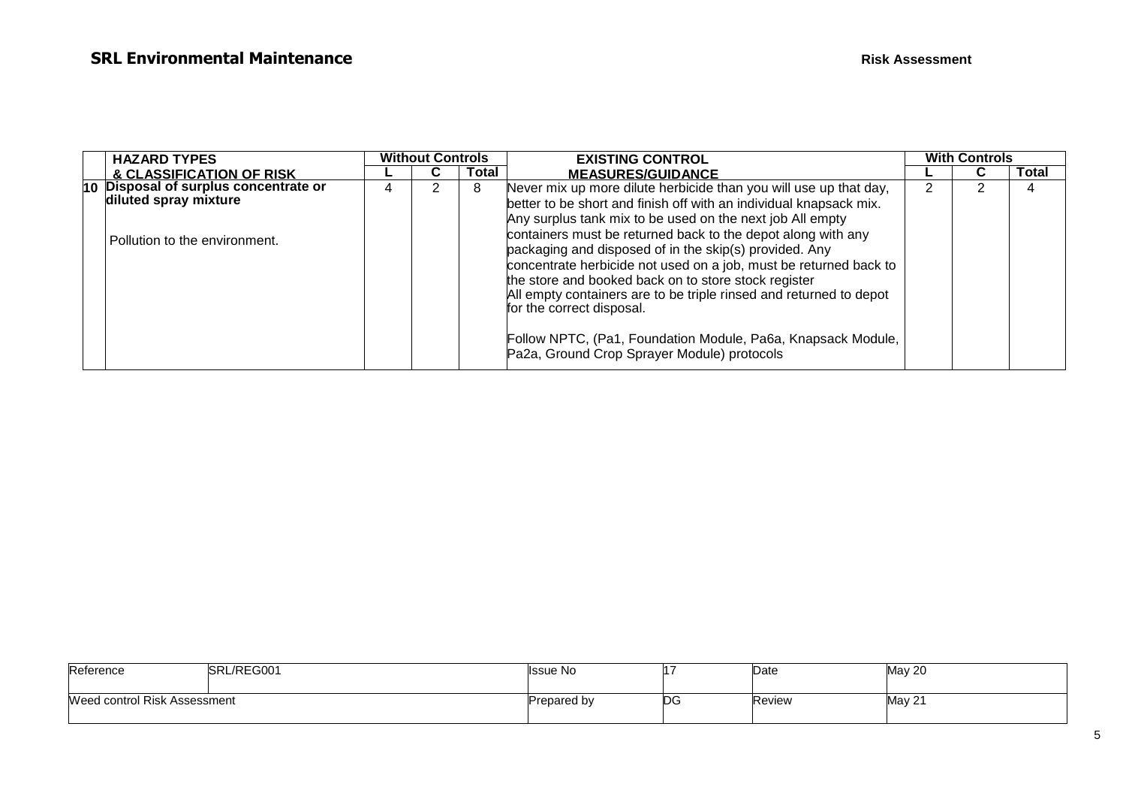| <b>HAZARD TYPES</b>                   |   | <b>Without Controls</b> |       | <b>EXISTING CONTROL</b>                                                                                                                                                                                                                                                                                                                                                                                             | <b>With Controls</b> |       |
|---------------------------------------|---|-------------------------|-------|---------------------------------------------------------------------------------------------------------------------------------------------------------------------------------------------------------------------------------------------------------------------------------------------------------------------------------------------------------------------------------------------------------------------|----------------------|-------|
| & CLASSIFICATION OF RISK              |   | u                       | Total | <b>MEASURES/GUIDANCE</b>                                                                                                                                                                                                                                                                                                                                                                                            |                      | Total |
| 10 Disposal of surplus concentrate or | 4 |                         | 8     | Never mix up more dilute herbicide than you will use up that day,                                                                                                                                                                                                                                                                                                                                                   |                      |       |
| diluted spray mixture                 |   |                         |       | better to be short and finish off with an individual knapsack mix.                                                                                                                                                                                                                                                                                                                                                  |                      |       |
| l Pollution to the environment.       |   |                         |       | Any surplus tank mix to be used on the next job All empty<br>containers must be returned back to the depot along with any<br>packaging and disposed of in the skip(s) provided. Any<br>concentrate herbicide not used on a job, must be returned back to<br>the store and booked back on to store stock register<br>All empty containers are to be triple rinsed and returned to depot<br>for the correct disposal. |                      |       |
|                                       |   |                         |       | Follow NPTC, (Pa1, Foundation Module, Pa6a, Knapsack Module,<br>Pa2a, Ground Crop Sprayer Module) protocols                                                                                                                                                                                                                                                                                                         |                      |       |

| Reference                    | SRL/REG001 | Issue No    |     | Date   | May 20 |
|------------------------------|------------|-------------|-----|--------|--------|
| Weed control Risk Assessment |            | Prepared by | IDС | Review | May 21 |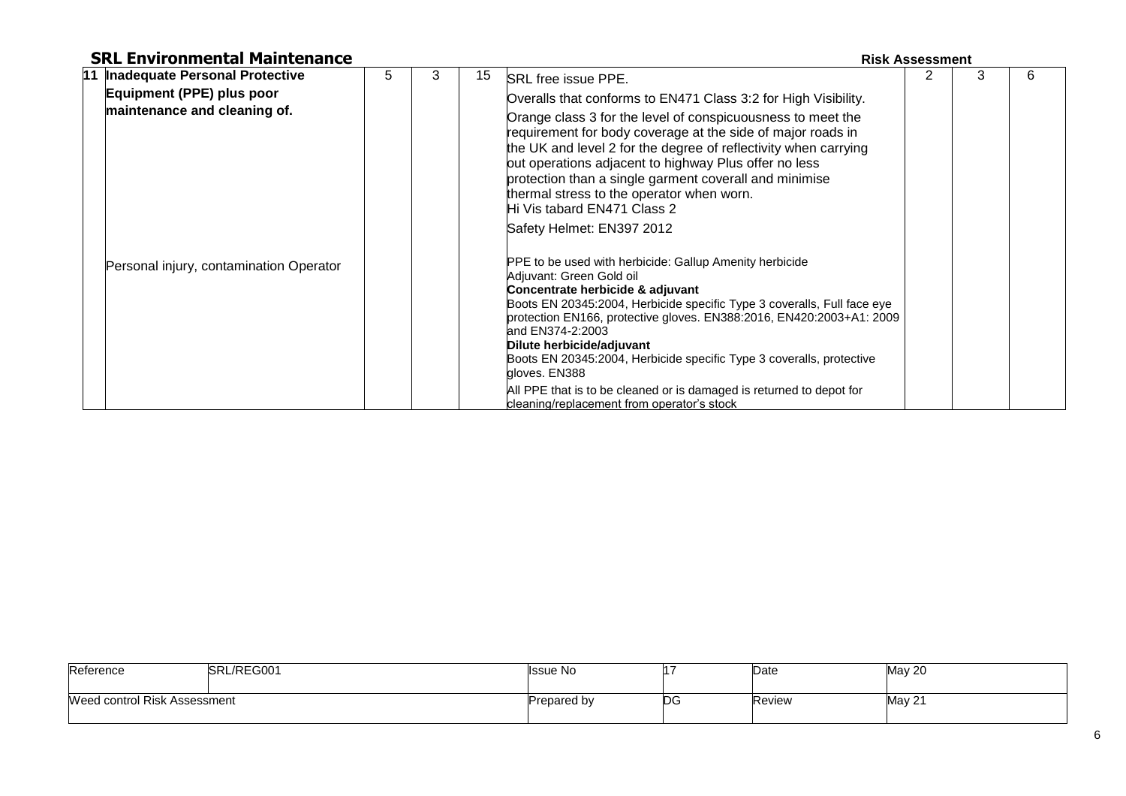### **SRL Environmental Maintenance Risk Assessment Risk Assessment**

### **11 Inadequate Personal Protective Equipment (PPE) plus poor maintenance and cleaning of.** Personal injury, contamination Operator  $5 \mid 3 \mid 15$  SRL free issue PPE. Overalls that conforms to EN471 Class 3:2 for High Visibility. Orange class 3 for the level of conspicuousness to meet the requirement for body coverage at the side of major roads in the UK and level 2 for the degree of reflectivity when carrying out operations adjacent to highway Plus offer no less protection than a single garment coverall and minimise thermal stress to the operator when worn. Hi Vis tabard EN471 Class 2 Safety Helmet: EN397 2012 PPE to be used with herbicide: Gallup Amenity herbicide Adjuvant: Green Gold oil **Concentrate herbicide & adjuvant** Boots EN 20345:2004, Herbicide specific Type 3 coveralls, Full face eye protection EN166, protective gloves. EN388:2016, EN420:2003+A1: 2009 and EN374-2:2003 **Dilute herbicide/adjuvant** Boots EN 20345:2004, Herbicide specific Type 3 coveralls, protective 2 3 6

All PPE that is to be cleaned or is damaged is returned to depot for

cleaning/replacement from operator's stock

gloves. EN388

| SRL/REG001<br>Reference      |  | Issue No    |            | Date   | May 20 |
|------------------------------|--|-------------|------------|--------|--------|
| Weed control Risk Assessment |  | Prepared by | <b>IDG</b> | Review | May 21 |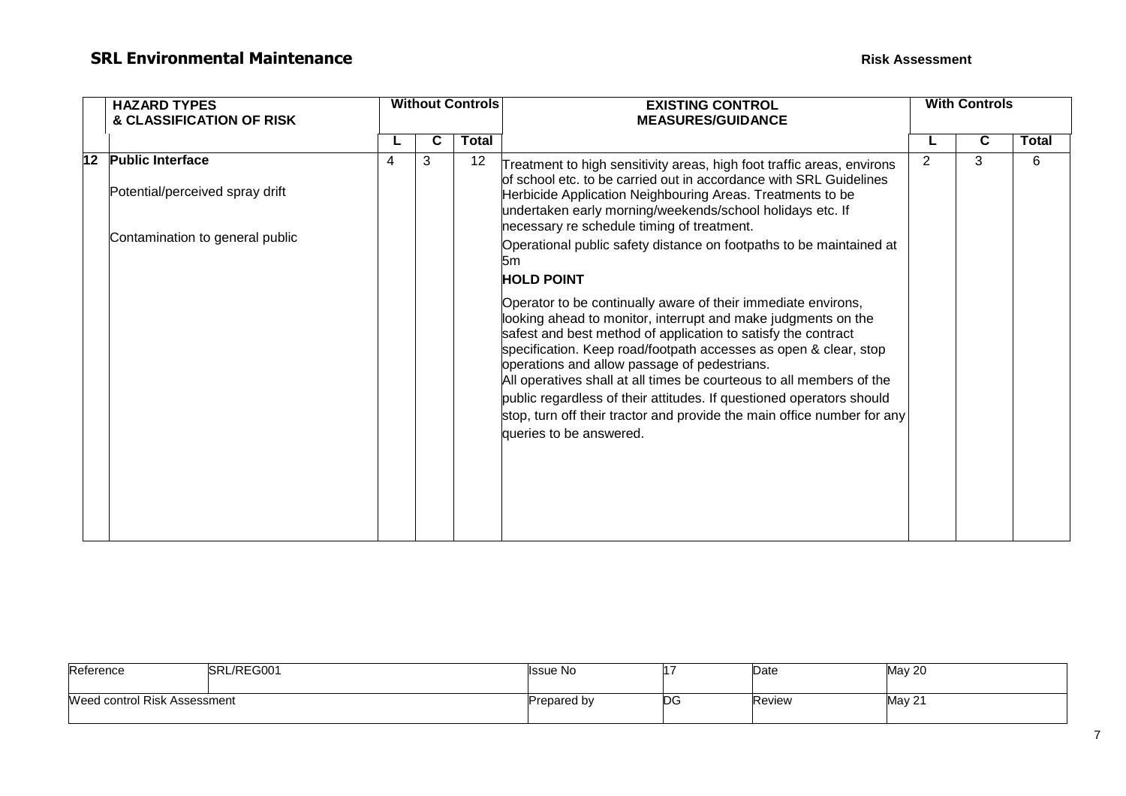|    | <b>HAZARD TYPES</b>                                        |   | <b>Without Controls</b> |       | <b>EXISTING CONTROL</b>                                                                                                                                                                                                                                                                                                                                                                                                                                                                                                                                                   | <b>With Controls</b> |   |       |
|----|------------------------------------------------------------|---|-------------------------|-------|---------------------------------------------------------------------------------------------------------------------------------------------------------------------------------------------------------------------------------------------------------------------------------------------------------------------------------------------------------------------------------------------------------------------------------------------------------------------------------------------------------------------------------------------------------------------------|----------------------|---|-------|
|    | & CLASSIFICATION OF RISK                                   |   |                         |       | <b>MEASURES/GUIDANCE</b>                                                                                                                                                                                                                                                                                                                                                                                                                                                                                                                                                  |                      |   |       |
|    |                                                            |   |                         | Total |                                                                                                                                                                                                                                                                                                                                                                                                                                                                                                                                                                           |                      | C | Total |
| 12 | <b>Public Interface</b><br>Potential/perceived spray drift | 4 | 3                       | 12    | 2<br>Treatment to high sensitivity areas, high foot traffic areas, environs<br>of school etc. to be carried out in accordance with SRL Guidelines<br>Herbicide Application Neighbouring Areas. Treatments to be<br>undertaken early morning/weekends/school holidays etc. If<br>necessary re schedule timing of treatment.<br>Operational public safety distance on footpaths to be maintained at<br>5m                                                                                                                                                                   |                      | 3 | 6     |
|    | Contamination to general public                            |   |                         |       |                                                                                                                                                                                                                                                                                                                                                                                                                                                                                                                                                                           |                      |   |       |
|    |                                                            |   |                         |       | <b>HOLD POINT</b>                                                                                                                                                                                                                                                                                                                                                                                                                                                                                                                                                         |                      |   |       |
|    |                                                            |   |                         |       | Operator to be continually aware of their immediate environs,<br>looking ahead to monitor, interrupt and make judgments on the<br>safest and best method of application to satisfy the contract<br>specification. Keep road/footpath accesses as open & clear, stop<br>operations and allow passage of pedestrians.<br>All operatives shall at all times be courteous to all members of the<br>public regardless of their attitudes. If questioned operators should<br>stop, turn off their tractor and provide the main office number for any<br>queries to be answered. |                      |   |       |
|    |                                                            |   |                         |       |                                                                                                                                                                                                                                                                                                                                                                                                                                                                                                                                                                           |                      |   |       |

| Reference                    | SRL/REG001 | Issue No    |     | Date   | <b>May 20</b> |
|------------------------------|------------|-------------|-----|--------|---------------|
| Weed control Risk Assessment |            | Prepared by | ט∪ו | Review | May 21        |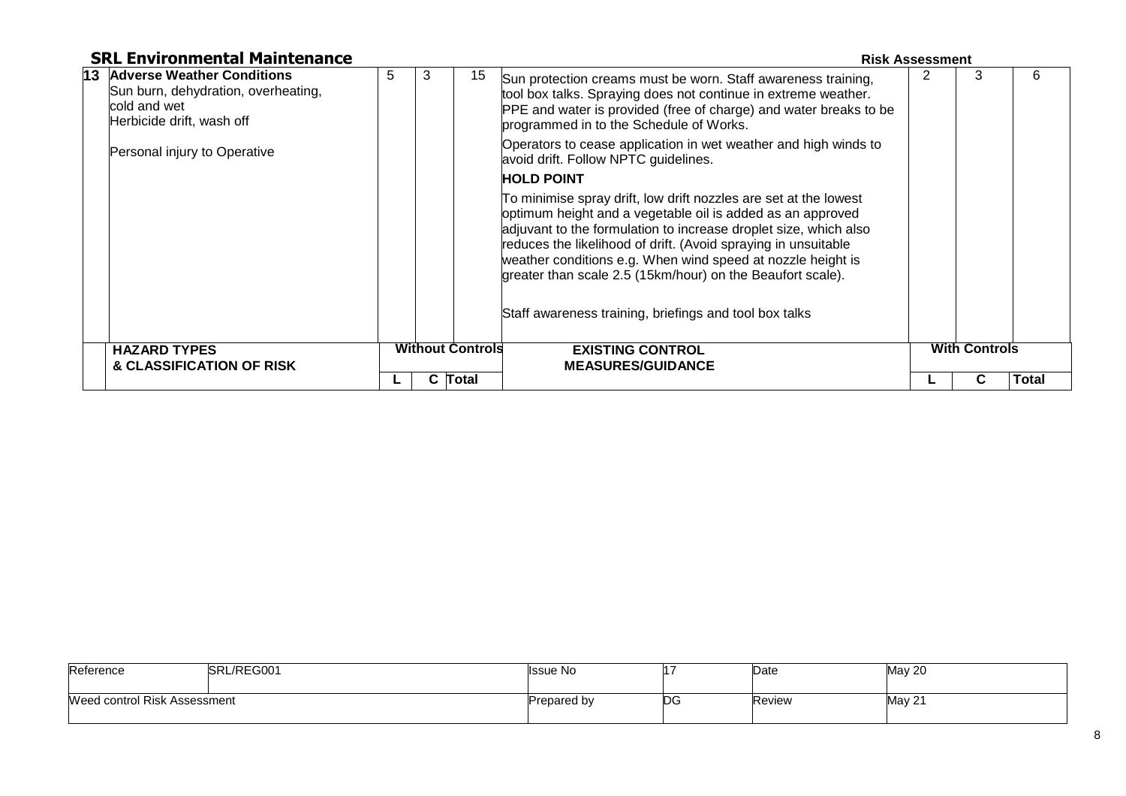| <b>SRL Environmental Maintenance</b>                                                                              |   |   |                         |                                                                                                                                                                                                                                                                                                                                                                                                   | <b>Risk Assessment</b> |                      |              |
|-------------------------------------------------------------------------------------------------------------------|---|---|-------------------------|---------------------------------------------------------------------------------------------------------------------------------------------------------------------------------------------------------------------------------------------------------------------------------------------------------------------------------------------------------------------------------------------------|------------------------|----------------------|--------------|
| 13 Adverse Weather Conditions<br>Sun burn, dehydration, overheating,<br>cold and wet<br>Herbicide drift, wash off | 5 | 3 | 15                      | Sun protection creams must be worn. Staff awareness training,<br>tool box talks. Spraying does not continue in extreme weather.<br>PPE and water is provided (free of charge) and water breaks to be<br>programmed in to the Schedule of Works.                                                                                                                                                   |                        | 3                    | 6            |
| Personal injury to Operative                                                                                      |   |   |                         | Operators to cease application in wet weather and high winds to<br>avoid drift. Follow NPTC guidelines.                                                                                                                                                                                                                                                                                           |                        |                      |              |
|                                                                                                                   |   |   |                         | <b>HOLD POINT</b>                                                                                                                                                                                                                                                                                                                                                                                 |                        |                      |              |
|                                                                                                                   |   |   |                         | To minimise spray drift, low drift nozzles are set at the lowest<br>optimum height and a vegetable oil is added as an approved<br>adjuvant to the formulation to increase droplet size, which also<br>reduces the likelihood of drift. (Avoid spraying in unsuitable<br>weather conditions e.g. When wind speed at nozzle height is<br>greater than scale 2.5 (15km/hour) on the Beaufort scale). |                        |                      |              |
|                                                                                                                   |   |   |                         | Staff awareness training, briefings and tool box talks                                                                                                                                                                                                                                                                                                                                            |                        |                      |              |
| <b>HAZARD TYPES</b>                                                                                               |   |   | <b>Without Controls</b> | <b>EXISTING CONTROL</b>                                                                                                                                                                                                                                                                                                                                                                           |                        | <b>With Controls</b> |              |
| & CLASSIFICATION OF RISK                                                                                          |   |   |                         | <b>MEASURES/GUIDANCE</b>                                                                                                                                                                                                                                                                                                                                                                          |                        |                      |              |
|                                                                                                                   |   |   | C Total                 |                                                                                                                                                                                                                                                                                                                                                                                                   |                        | C.                   | <b>Total</b> |

| Reference                    | SRL/REG001 | <b>Issue No</b> |     | Date   | <b>May 20</b> |
|------------------------------|------------|-----------------|-----|--------|---------------|
| Weed control Risk Assessment |            | Prepared by     | IDG | Review | May 21        |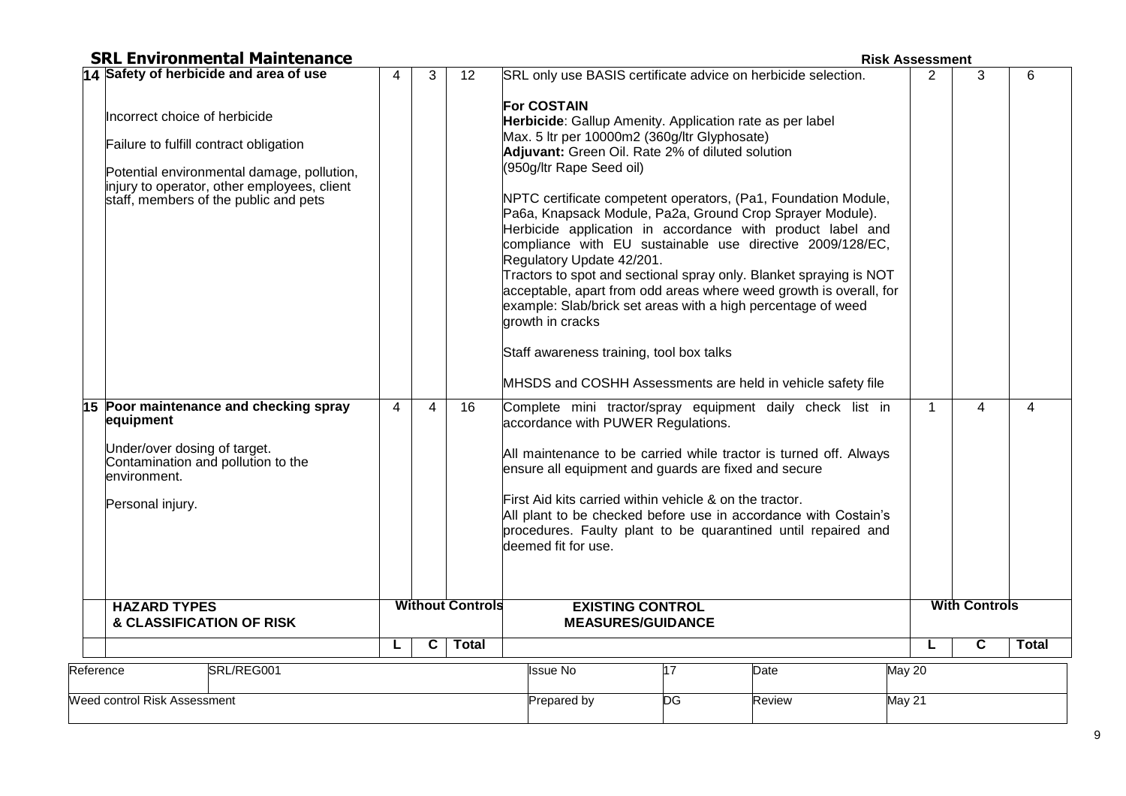| <b>SRL Environmental Maintenance</b> |  |
|--------------------------------------|--|
|--------------------------------------|--|

**Risk Assessment** 

|           | 14 Safety of herbicide and area of use                                                                                                                                                                                                                                                                                                                                          | 4              | 3                       | 12                      | SRL only use BASIS certificate advice on herbicide selection.                                                                                                                                                                                                                                                                                                                                                                                                                                                                                                                                                                                                                                                                                                                                                                                                                                                                                                                                                                                                                                                                                                                                                                                                                                          | $\overline{2}$ | 3                       | 6            |
|-----------|---------------------------------------------------------------------------------------------------------------------------------------------------------------------------------------------------------------------------------------------------------------------------------------------------------------------------------------------------------------------------------|----------------|-------------------------|-------------------------|--------------------------------------------------------------------------------------------------------------------------------------------------------------------------------------------------------------------------------------------------------------------------------------------------------------------------------------------------------------------------------------------------------------------------------------------------------------------------------------------------------------------------------------------------------------------------------------------------------------------------------------------------------------------------------------------------------------------------------------------------------------------------------------------------------------------------------------------------------------------------------------------------------------------------------------------------------------------------------------------------------------------------------------------------------------------------------------------------------------------------------------------------------------------------------------------------------------------------------------------------------------------------------------------------------|----------------|-------------------------|--------------|
|           | Incorrect choice of herbicide<br>Failure to fulfill contract obligation<br>Potential environmental damage, pollution,<br>injury to operator, other employees, client<br>staff, members of the public and pets<br>15 Poor maintenance and checking spray<br>equipment<br>Under/over dosing of target.<br>Contamination and pollution to the<br>lenvironment.<br>Personal injury. | $\overline{4}$ | $\overline{4}$          | 16                      | <b>For COSTAIN</b><br>Herbicide: Gallup Amenity. Application rate as per label<br>Max. 5 Itr per 10000m2 (360g/ltr Glyphosate)<br>Adjuvant: Green Oil. Rate 2% of diluted solution<br>(950g/ltr Rape Seed oil)<br>NPTC certificate competent operators, (Pa1, Foundation Module,<br>Pa6a, Knapsack Module, Pa2a, Ground Crop Sprayer Module).<br>Herbicide application in accordance with product label and<br>compliance with EU sustainable use directive 2009/128/EC,<br>Regulatory Update 42/201.<br>Tractors to spot and sectional spray only. Blanket spraying is NOT<br>acceptable, apart from odd areas where weed growth is overall, for<br>example: Slab/brick set areas with a high percentage of weed<br>growth in cracks<br>Staff awareness training, tool box talks<br>MHSDS and COSHH Assessments are held in vehicle safety file<br>Complete mini tractor/spray equipment daily check list in<br>accordance with PUWER Regulations.<br>All maintenance to be carried while tractor is turned off. Always<br>ensure all equipment and guards are fixed and secure<br>First Aid kits carried within vehicle & on the tractor.<br>All plant to be checked before use in accordance with Costain's<br>procedures. Faulty plant to be quarantined until repaired and<br>deemed fit for use. | 1              | $\overline{4}$          | 4            |
|           | <b>HAZARD TYPES</b><br>& CLASSIFICATION OF RISK                                                                                                                                                                                                                                                                                                                                 |                |                         | <b>Without Controls</b> | <b>EXISTING CONTROL</b><br><b>MEASURES/GUIDANCE</b>                                                                                                                                                                                                                                                                                                                                                                                                                                                                                                                                                                                                                                                                                                                                                                                                                                                                                                                                                                                                                                                                                                                                                                                                                                                    |                | <b>With Controls</b>    |              |
|           |                                                                                                                                                                                                                                                                                                                                                                                 | L              | $\overline{\mathbf{c}}$ | <b>Total</b>            |                                                                                                                                                                                                                                                                                                                                                                                                                                                                                                                                                                                                                                                                                                                                                                                                                                                                                                                                                                                                                                                                                                                                                                                                                                                                                                        |                | $\overline{\mathbf{c}}$ | <b>Total</b> |
| Reference | SRL/REG001                                                                                                                                                                                                                                                                                                                                                                      |                |                         |                         | <b>Issue No</b><br>$\overline{17}$<br>Date                                                                                                                                                                                                                                                                                                                                                                                                                                                                                                                                                                                                                                                                                                                                                                                                                                                                                                                                                                                                                                                                                                                                                                                                                                                             | May 20         |                         |              |
|           | Weed control Risk Assessment                                                                                                                                                                                                                                                                                                                                                    |                |                         |                         | DG<br>Prepared by<br>Review                                                                                                                                                                                                                                                                                                                                                                                                                                                                                                                                                                                                                                                                                                                                                                                                                                                                                                                                                                                                                                                                                                                                                                                                                                                                            | <b>May 21</b>  |                         |              |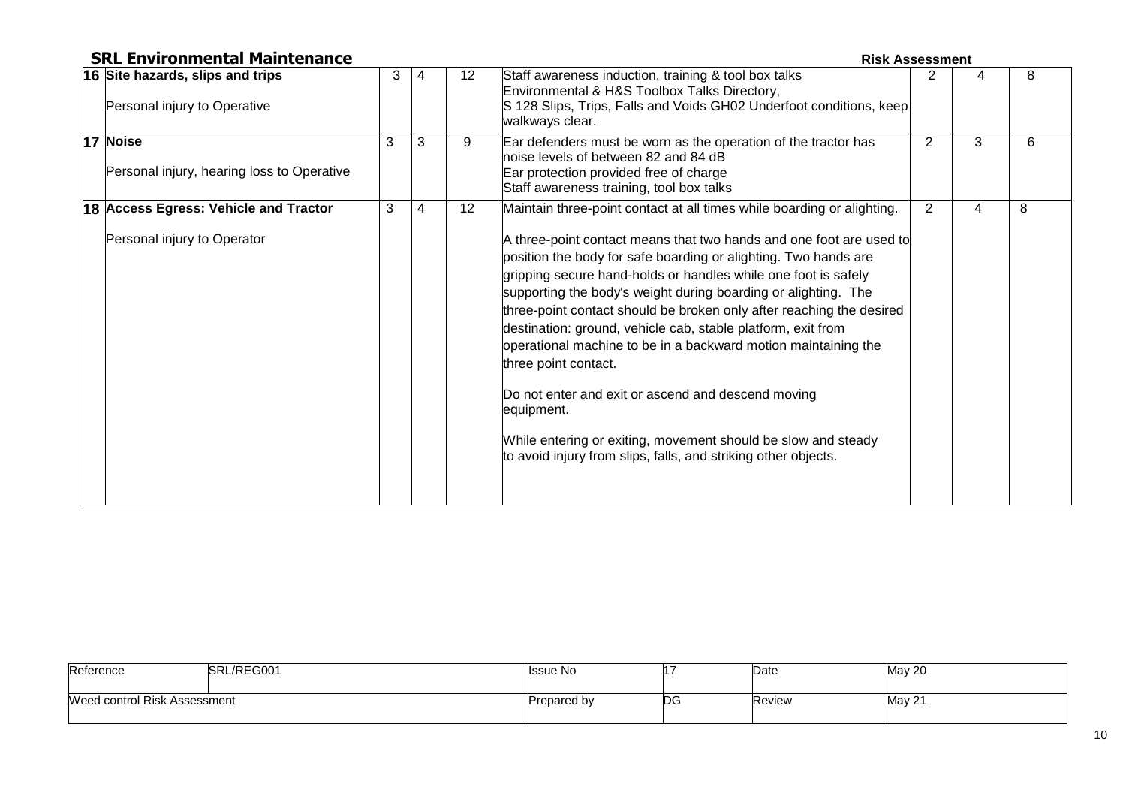| <b>SRL Environmental Maintenance</b>                                 |   |   | <b>Risk Assessment</b> |                                                                                                                                                                                                                                                                                                                                                                                                                                                                                                                                                                                                                                                                                                                             |                |   |   |
|----------------------------------------------------------------------|---|---|------------------------|-----------------------------------------------------------------------------------------------------------------------------------------------------------------------------------------------------------------------------------------------------------------------------------------------------------------------------------------------------------------------------------------------------------------------------------------------------------------------------------------------------------------------------------------------------------------------------------------------------------------------------------------------------------------------------------------------------------------------------|----------------|---|---|
| 16 Site hazards, slips and trips<br>Personal injury to Operative     | 3 | 4 | 12 <sup>°</sup>        | Staff awareness induction, training & tool box talks<br>Environmental & H&S Toolbox Talks Directory,<br>S 128 Slips, Trips, Falls and Voids GH02 Underfoot conditions, keep<br>walkways clear.                                                                                                                                                                                                                                                                                                                                                                                                                                                                                                                              |                |   | 8 |
| 17 Noise<br>Personal injury, hearing loss to Operative               | 3 | 3 | 9                      | Ear defenders must be worn as the operation of the tractor has<br>hoise levels of between 82 and 84 dB<br>Ear protection provided free of charge<br>Staff awareness training, tool box talks                                                                                                                                                                                                                                                                                                                                                                                                                                                                                                                                | $\overline{2}$ | 3 | 6 |
| 18 Access Egress: Vehicle and Tractor<br>Personal injury to Operator | 3 | 4 | 12                     | Maintain three-point contact at all times while boarding or alighting.<br>A three-point contact means that two hands and one foot are used to<br>position the body for safe boarding or alighting. Two hands are<br>gripping secure hand-holds or handles while one foot is safely<br>supporting the body's weight during boarding or alighting. The<br>three-point contact should be broken only after reaching the desired<br>destination: ground, vehicle cab, stable platform, exit from<br>operational machine to be in a backward motion maintaining the<br>three point contact.<br>Do not enter and exit or ascend and descend moving<br>equipment.<br>While entering or exiting, movement should be slow and steady | $\overline{2}$ | 4 | 8 |
|                                                                      |   |   |                        | to avoid injury from slips, falls, and striking other objects.                                                                                                                                                                                                                                                                                                                                                                                                                                                                                                                                                                                                                                                              |                |   |   |

| Reference                    | SRL/REG001 | Issue No    |    | Date   | <b>May 20</b> |
|------------------------------|------------|-------------|----|--------|---------------|
| Weed control Risk Assessment |            | Prepared by | DG | Review | May 21        |